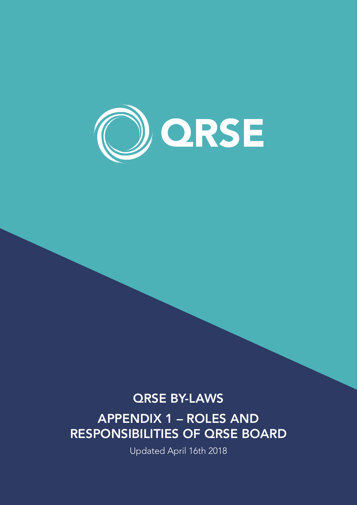

# QRSE BY-LAWS

APPENDIX 1 – ROLES AND RESPONSIBILITIES OF QRSE BOARD

Updated April 16th 2018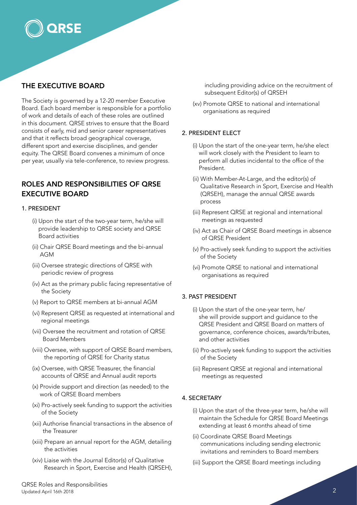

# THE EXECUTIVE BOARD

The Society is governed by a 12-20 member Executive Board. Each board member is responsible for a portfolio of work and details of each of these roles are outlined in this document. QRSE strives to ensure that the Board consists of early, mid and senior career representatives and that it reflects broad geographical coverage, different sport and exercise disciplines, and gender equity. The QRSE Board convenes a minimum of once per year, usually via tele-conference, to review progress.

# ROLES AND RESPONSIBILITIES OF QRSE EXECUTIVE BOARD

#### 1. PRESIDENT

- (i) Upon the start of the two-year term, he/she will provide leadership to QRSE society and QRSE Board activities
- (ii) Chair QRSE Board meetings and the bi-annual AGM
- (iii) Oversee strategic directions of QRSE with periodic review of progress
- (iv) Act as the primary public facing representative of the Society
- (v) Report to QRSE members at bi-annual AGM
- (vi) Represent QRSE as requested at international and regional meetings
- (vii) Oversee the recruitment and rotation of QRSE Board Members
- (viii) Oversee, with support of QRSE Board members, the reporting of QRSE for Charity status
- (ix) Oversee, with QRSE Treasurer, the financial accounts of QRSE and Annual audit reports
- (x) Provide support and direction (as needed) to the work of QRSE Board members
- (xi) Pro-actively seek funding to support the activities of the Society
- (xii) Authorise financial transactions in the absence of the Treasurer
- (xiii) Prepare an annual report for the AGM, detailing the activities
- (xiv) Liaise with the Journal Editor(s) of Qualitative Research in Sport, Exercise and Health (QRSEH),

including providing advice on the recruitment of subsequent Editor(s) of QRSEH

(xv) Promote QRSE to national and international organisations as required

# 2. PRESIDENT ELECT

- (i) Upon the start of the one-year term, he/she elect will work closely with the President to learn to perform all duties incidental to the office of the President.
- (ii) With Member-At-Large, and the editor(s) of Qualitative Research in Sport, Exercise and Health (QRSEH), manage the annual QRSE awards process
- (iii) Represent QRSE at regional and international meetings as requested
- (iv) Act as Chair of QRSE Board meetings in absence of QRSE President
- (v) Pro-actively seek funding to support the activities of the Society
- (vi) Promote QRSE to national and international organisations as required

#### 3. PAST PRESIDENT

- (i) Upon the start of the one-year term, he/ she will provide support and guidance to the QRSE President and QRSE Board on matters of governance, conference choices, awards/tributes, and other activities
- (ii) Pro-actively seek funding to support the activities of the Society
- (iii) Represent QRSE at regional and international meetings as requested

#### 4. SECRETARY

- (i) Upon the start of the three-year term, he/she will maintain the Schedule for QRSE Board Meetings extending at least 6 months ahead of time
- (ii) Coordinate QRSE Board Meetings communications including sending electronic invitations and reminders to Board members
- (iii) Support the QRSE Board meetings including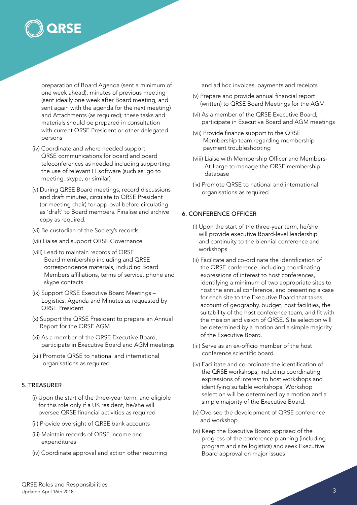

preparation of Board Agenda (sent a minimum of one week ahead), minutes of previous meeting (sent ideally one week after Board meeting, and sent again with the agenda for the next meeting) and Attachments (as required); these tasks and materials should be prepared in consultation with current QRSE President or other delegated persons

- (iv) Coordinate and where needed support QRSE communications for board and board teleconferences as needed including supporting the use of relevant IT software (such as: go to meeting, skype, or similar)
- (v) During QRSE Board meetings, record discussions and draft minutes, circulate to QRSE President (or meeting chair) for approval before circulating as 'draft' to Board members. Finalise and archive copy as required.
- (vi) Be custodian of the Society's records
- (vii) Liaise and support QRSE Governance
- (viii) Lead to maintain records of QRSE Board membership including and QRSE correspondence materials, including Board Members affiliations, terms of service, phone and skype contacts
- (ix) Support QRSE Executive Board Meetings Logistics, Agenda and Minutes as requested by QRSE President
- (x) Support the QRSE President to prepare an Annual Report for the QRSE AGM
- (xi) As a member of the QRSE Executive Board, participate in Executive Board and AGM meetings
- (xii) Promote QRSE to national and international organisations as required

# 5. TREASURER

- (i) Upon the start of the three-year term, and eligible for this role only if a UK resident, he/she will oversee QRSE financial activities as required
- (ii) Provide oversight of QRSE bank accounts
- (iii) Maintain records of QRSE income and expenditures
- (iv) Coordinate approval and action other recurring

and ad hoc invoices, payments and receipts

- (v) Prepare and provide annual financial report (written) to QRSE Board Meetings for the AGM
- (vi) As a member of the QRSE Executive Board, participate in Executive Board and AGM meetings
- (vii) Provide finance support to the QRSE Membership team regarding membership payment troubleshooting
- (viii) Liaise with Membership Officer and Members-At-Large to manage the QRSE membership database
- (ix) Promote QRSE to national and international organisations as required

#### 6. CONFERENCE OFFICER

- (i) Upon the start of the three-year term, he/she will provide executive Board-level leadership and continuity to the biennial conference and workshops
- (ii) Facilitate and co-ordinate the identification of the QRSE conference, including coordinating expressions of interest to host conferences, identifying a minimum of two appropriate sites to host the annual conference, and presenting a case for each site to the Executive Board that takes account of geography, budget, host facilities, the suitability of the host conference team, and fit with the mission and vision of QRSE. Site selection will be determined by a motion and a simple majority of the Executive Board.
- (iii) Serve as an ex-officio member of the host conference scientific board.
- (iv) Facilitate and co-ordinate the identification of the QRSE workshops, including coordinating expressions of interest to host workshops and identifying suitable workshops. Workshop selection will be determined by a motion and a simple majority of the Executive Board.
- (v) Oversee the development of QRSE conference and workshop
- (vi) Keep the Executive Board apprised of the progress of the conference planning (including program and site logistics) and seek Executive Board approval on major issues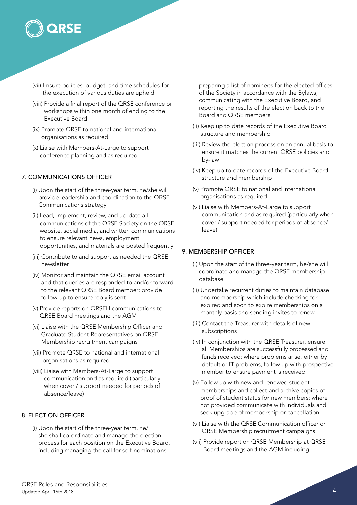

- (vii) Ensure policies, budget, and time schedules for the execution of various duties are upheld
- (viii) Provide a final report of the QRSE conference or workshops within one month of ending to the Executive Board
- (ix) Promote QRSE to national and international organisations as required
- (x) Liaise with Members-At-Large to support conference planning and as required

# 7. COMMUNICATIONS OFFICER

- (i) Upon the start of the three-year term, he/she will provide leadership and coordination to the QRSE Communications strategy
- (ii) Lead, implement, review, and up-date all communications of the QRSE Society on the QRSE website, social media, and written communications to ensure relevant news, employment opportunities, and materials are posted frequently
- (iii) Contribute to and support as needed the QRSE newsletter
- (iv) Monitor and maintain the QRSE email account and that queries are responded to and/or forward to the relevant QRSE Board member; provide follow-up to ensure reply is sent
- (v) Provide reports on QRSEH communications to QRSE Board meetings and the AGM
- (vi) Liaise with the QRSE Membership Officer and Graduate Student Representatives on QRSE Membership recruitment campaigns
- (vii) Promote QRSE to national and international organisations as required
- (viii) Liaise with Members-At-Large to support communication and as required (particularly when cover / support needed for periods of absence/leave)

# 8. ELECTION OFFICER

(i) Upon the start of the three-year term, he/ she shall co-ordinate and manage the election process for each position on the Executive Board, including managing the call for self-nominations,

preparing a list of nominees for the elected offices of the Society in accordance with the Bylaws, communicating with the Executive Board, and reporting the results of the election back to the Board and QRSE members.

- (ii) Keep up to date records of the Executive Board structure and membership
- (iii) Review the election process on an annual basis to ensure it matches the current QRSE policies and by-law
- (iv) Keep up to date records of the Executive Board structure and membership
- (v) Promote QRSE to national and international organisations as required
- (vi) Liaise with Members-At-Large to support communication and as required (particularly when cover / support needed for periods of absence/ leave)

# 9. MEMBERSHIP OFFICER

- (i) Upon the start of the three-year term, he/she will coordinate and manage the QRSE membership database
- (ii) Undertake recurrent duties to maintain database and membership which include checking for expired and soon to expire memberships on a monthly basis and sending invites to renew
- (iii) Contact the Treasurer with details of new subscriptions
- (iv) In conjunction with the QRSE Treasurer, ensure all Memberships are successfully processed and funds received; where problems arise, either by default or IT problems, follow up with prospective member to ensure payment is received
- (v) Follow up with new and renewed student memberships and collect and archive copies of proof of student status for new members; where not provided communicate with individuals and seek upgrade of membership or cancellation
- (vi) Liaise with the QRSE Communication officer on QRSE Membership recruitment campaigns
- (vii) Provide report on QRSE Membership at QRSE Board meetings and the AGM including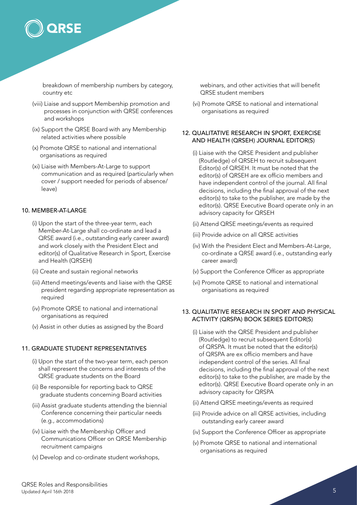

breakdown of membership numbers by category, country etc

- (viii) Liaise and support Membership promotion and processes in conjunction with QRSE conferences and workshops
- (ix) Support the QRSE Board with any Membership related activities where possible
- (x) Promote QRSE to national and international organisations as required
- (xi) Liaise with Members-At-Large to support communication and as required (particularly when cover / support needed for periods of absence/ leave)

#### 10. MEMBER-AT-LARGE

- (i) Upon the start of the three-year term, each Member-At-Large shall co-ordinate and lead a QRSE award (i.e., outstanding early career award) and work closely with the President Elect and editor(s) of Qualitative Research in Sport, Exercise and Health (QRSEH)
- (ii) Create and sustain regional networks
- (iii) Attend meetings/events and liaise with the QRSE president regarding appropriate representation as required
- (iv) Promote QRSE to national and international organisations as required
- (v) Assist in other duties as assigned by the Board

#### 11. GRADUATE STUDENT REPRESENTATIVES

- (i) Upon the start of the two-year term, each person shall represent the concerns and interests of the QRSE graduate students on the Board
- (ii) Be responsible for reporting back to QRSE graduate students concerning Board activities
- (iii) Assist graduate students attending the biennial Conference concerning their particular needs (e.g., accommodations)
- (iv) Liaise with the Membership Officer and Communications Officer on QRSE Membership recruitment campaigns
- (v) Develop and co-ordinate student workshops,

webinars, and other activities that will benefit QRSE student members

(vi) Promote QRSE to national and international organisations as required

# 12. QUALITATIVE RESEARCH IN SPORT, EXERCISE AND HEALTH (QRSEH) JOURNAL EDITOR(S)

- (i) Liaise with the QRSE President and publisher (Routledge) of QRSEH to recruit subsequent Editor(s) of QRSEH. It must be noted that the editor(s) of QRSEH are ex officio members and have independent control of the journal. All final decisions, including the final approval of the next editor(s) to take to the publisher, are made by the editor(s). QRSE Executive Board operate only in an advisory capacity for QRSEH
- (ii) Attend QRSE meetings/events as required
- (iii) Provide advice on all QRSE activities
- (iv) With the President Elect and Members-At-Large, co-ordinate a QRSE award (i.e., outstanding early career award)
- (v) Support the Conference Officer as appropriate
- (vi) Promote QRSE to national and international organisations as required

# 13. QUALITATIVE RESEARCH IN SPORT AND PHYSICAL ACTIVITY (QRSPA) BOOK SERIES EDITOR(S)

- (i) Liaise with the QRSE President and publisher (Routledge) to recruit subsequent Editor(s) of QRSPA. It must be noted that the editor(s) of QRSPA are ex officio members and have independent control of the series. All final decisions, including the final approval of the next editor(s) to take to the publisher, are made by the editor(s). QRSE Executive Board operate only in an advisory capacity for QRSPA
- (ii) Attend QRSE meetings/events as required
- (iii) Provide advice on all QRSE activities, including outstanding early career award
- (iv) Support the Conference Officer as appropriate
- (v) Promote QRSE to national and international organisations as required